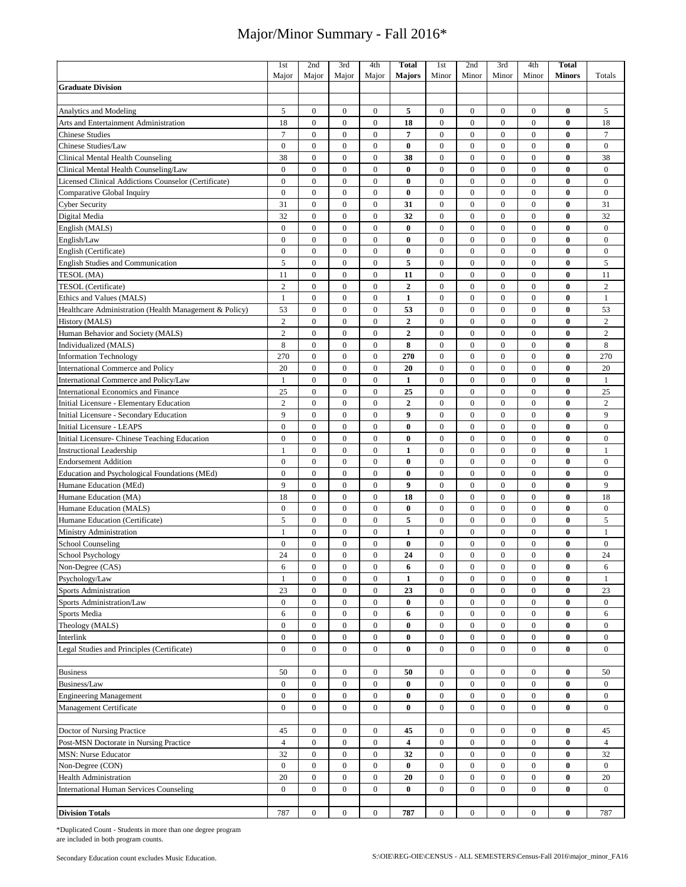|                                                        | 1 <sub>st</sub>      | 2nd              | 3rd              | 4th              | <b>Total</b>            | 1st              | 2nd              | 3rd              | 4th              | <b>Total</b>  |                  |
|--------------------------------------------------------|----------------------|------------------|------------------|------------------|-------------------------|------------------|------------------|------------------|------------------|---------------|------------------|
|                                                        | Major                | Major            | Major            | Major            | <b>Majors</b>           | Minor            | Minor            | Minor            | Minor            | <b>Minors</b> | Totals           |
| <b>Graduate Division</b>                               |                      |                  |                  |                  |                         |                  |                  |                  |                  |               |                  |
|                                                        |                      |                  |                  |                  |                         |                  |                  |                  |                  |               |                  |
| <b>Analytics and Modeling</b>                          | 5                    | $\bf{0}$         | $\bf{0}$         | $\bf{0}$         | 5                       | $\boldsymbol{0}$ | $\bf{0}$         | $\mathbf{0}$     | $\mathbf{0}$     | $\bf{0}$      | 5                |
| Arts and Entertainment Administration                  | 18                   | $\overline{0}$   | $\boldsymbol{0}$ | $\boldsymbol{0}$ | 18                      | $\boldsymbol{0}$ | $\mathbf{0}$     | $\overline{0}$   | $\mathbf{0}$     | $\bf{0}$      | 18               |
| <b>Chinese Studies</b>                                 | $\overline{7}$       | $\overline{0}$   | $\mathbf{0}$     | $\bf{0}$         | 7                       | $\boldsymbol{0}$ | $\mathbf{0}$     | $\mathbf{0}$     | $\mathbf{0}$     | $\bf{0}$      | $\tau$           |
| Chinese Studies/Law                                    | $\mathbf{0}$         | $\overline{0}$   | $\boldsymbol{0}$ | $\boldsymbol{0}$ | $\bf{0}$                | $\boldsymbol{0}$ | $\boldsymbol{0}$ | $\mathbf{0}$     | $\mathbf{0}$     | $\bf{0}$      | $\mathbf{0}$     |
| Clinical Mental Health Counseling                      | 38                   | $\boldsymbol{0}$ | $\boldsymbol{0}$ | $\boldsymbol{0}$ | 38                      | $\boldsymbol{0}$ | $\boldsymbol{0}$ | $\mathbf{0}$     | $\mathbf{0}$     | $\bf{0}$      | 38               |
| Clinical Mental Health Counseling/Law                  | $\mathbf{0}$         | $\mathbf{0}$     | $\mathbf{0}$     | $\mathbf{0}$     | $\bf{0}$                | $\boldsymbol{0}$ | $\mathbf{0}$     | $\overline{0}$   | $\mathbf{0}$     | $\bf{0}$      | $\mathbf{0}$     |
| Licensed Clinical Addictions Counselor (Certificate)   | $\mathbf{0}$         | $\overline{0}$   | $\mathbf{0}$     | $\mathbf{0}$     | $\bf{0}$                | $\boldsymbol{0}$ | $\mathbf{0}$     | $\mathbf{0}$     | $\mathbf{0}$     | $\bf{0}$      | $\mathbf{0}$     |
| Comparative Global Inquiry                             | $\mathbf{0}$         | $\boldsymbol{0}$ | $\boldsymbol{0}$ | $\boldsymbol{0}$ | $\bf{0}$                | $\boldsymbol{0}$ | $\boldsymbol{0}$ | $\mathbf{0}$     | $\mathbf{0}$     | $\bf{0}$      | $\mathbf{0}$     |
| <b>Cyber Security</b>                                  | 31                   | $\overline{0}$   | $\boldsymbol{0}$ | $\boldsymbol{0}$ | 31                      | $\boldsymbol{0}$ | $\boldsymbol{0}$ | $\boldsymbol{0}$ | $\boldsymbol{0}$ | $\bf{0}$      | 31               |
| Digital Media                                          | 32                   | $\boldsymbol{0}$ | $\boldsymbol{0}$ | $\boldsymbol{0}$ | 32                      | $\boldsymbol{0}$ | $\boldsymbol{0}$ | $\boldsymbol{0}$ | $\mathbf{0}$     | $\bf{0}$      | 32               |
| English (MALS)                                         | $\mathbf{0}$         | $\boldsymbol{0}$ | $\boldsymbol{0}$ | $\boldsymbol{0}$ | $\bf{0}$                | $\boldsymbol{0}$ | $\boldsymbol{0}$ | $\boldsymbol{0}$ | $\boldsymbol{0}$ | $\bf{0}$      | $\bf{0}$         |
| English/Law                                            | $\overline{0}$       | $\boldsymbol{0}$ | $\boldsymbol{0}$ | $\boldsymbol{0}$ | $\bf{0}$                | $\boldsymbol{0}$ | $\boldsymbol{0}$ | $\overline{0}$   | $\mathbf{0}$     | $\bf{0}$      | $\boldsymbol{0}$ |
| English (Certificate)                                  | $\overline{0}$       | $\overline{0}$   | $\boldsymbol{0}$ | $\boldsymbol{0}$ | $\bf{0}$                | $\boldsymbol{0}$ | $\boldsymbol{0}$ | $\mathbf{0}$     | $\mathbf{0}$     | $\bf{0}$      | $\boldsymbol{0}$ |
| <b>English Studies and Communication</b>               | 5                    | $\boldsymbol{0}$ | $\boldsymbol{0}$ | $\boldsymbol{0}$ | 5                       | $\boldsymbol{0}$ | $\boldsymbol{0}$ | $\boldsymbol{0}$ | $\boldsymbol{0}$ | $\bf{0}$      | $\sqrt{5}$       |
| TESOL (MA)                                             | 11                   | $\boldsymbol{0}$ | $\boldsymbol{0}$ | $\boldsymbol{0}$ | 11                      | $\boldsymbol{0}$ | $\boldsymbol{0}$ | $\mathbf{0}$     | $\mathbf{0}$     | $\bf{0}$      | 11               |
| TESOL (Certificate)                                    | $\sqrt{2}$           | $\boldsymbol{0}$ | $\boldsymbol{0}$ | $\boldsymbol{0}$ | $\overline{2}$          | $\boldsymbol{0}$ | $\boldsymbol{0}$ | $\boldsymbol{0}$ | $\boldsymbol{0}$ | $\bf{0}$      | $\overline{2}$   |
| Ethics and Values (MALS)                               | 1                    | $\boldsymbol{0}$ | $\boldsymbol{0}$ | $\boldsymbol{0}$ | 1                       | $\boldsymbol{0}$ | $\boldsymbol{0}$ | $\boldsymbol{0}$ | $\mathbf{0}$     | $\bf{0}$      | $\mathbf{1}$     |
| Healthcare Administration (Health Management & Policy) | 53                   | $\boldsymbol{0}$ | $\boldsymbol{0}$ | $\boldsymbol{0}$ | 53                      | $\boldsymbol{0}$ | $\boldsymbol{0}$ | $\mathbf{0}$     | $\boldsymbol{0}$ | $\bf{0}$      | 53               |
| History (MALS)                                         | $\overline{c}$       | $\boldsymbol{0}$ | $\boldsymbol{0}$ | $\boldsymbol{0}$ | $\overline{2}$          | $\boldsymbol{0}$ | $\boldsymbol{0}$ | $\mathbf{0}$     | $\mathbf{0}$     | $\bf{0}$      | $\mathbf{2}$     |
| Human Behavior and Society (MALS)                      | $\mathbf{2}$         | $\boldsymbol{0}$ | $\boldsymbol{0}$ | $\boldsymbol{0}$ | $\overline{2}$          | $\boldsymbol{0}$ | $\boldsymbol{0}$ | $\boldsymbol{0}$ | $\boldsymbol{0}$ | $\bf{0}$      | $\sqrt{2}$       |
| Individualized (MALS)                                  | 8                    | $\overline{0}$   | $\boldsymbol{0}$ | $\boldsymbol{0}$ | 8                       | $\boldsymbol{0}$ | $\mathbf{0}$     | $\overline{0}$   | $\mathbf{0}$     | $\bf{0}$      | 8                |
| <b>Information Technology</b>                          | 270                  | $\overline{0}$   | $\boldsymbol{0}$ | $\boldsymbol{0}$ | 270                     | $\boldsymbol{0}$ | $\boldsymbol{0}$ | $\mathbf{0}$     | $\boldsymbol{0}$ | $\bf{0}$      | 270              |
| <b>International Commerce and Policy</b>               | 20                   | $\overline{0}$   | $\mathbf{0}$     | $\mathbf{0}$     | 20                      | $\boldsymbol{0}$ | $\boldsymbol{0}$ | $\overline{0}$   | $\mathbf{0}$     | $\bf{0}$      | 20               |
| International Commerce and Policy/Law                  | $\mathbf{1}$         | $\overline{0}$   | $\mathbf{0}$     | $\boldsymbol{0}$ | $\mathbf{1}$            | $\boldsymbol{0}$ | $\boldsymbol{0}$ | $\mathbf{0}$     | $\mathbf{0}$     | $\bf{0}$      | $\mathbf{1}$     |
| <b>International Economics and Finance</b>             | 25                   | $\overline{0}$   | $\mathbf{0}$     | $\overline{0}$   | 25                      | $\boldsymbol{0}$ | $\mathbf{0}$     | $\overline{0}$   | $\mathbf{0}$     | $\bf{0}$      | 25               |
| Initial Licensure - Elementary Education               | $\overline{c}$       | $\overline{0}$   | $\boldsymbol{0}$ | $\boldsymbol{0}$ | $\mathbf{2}$            | $\boldsymbol{0}$ | $\mathbf{0}$     | $\mathbf{0}$     | $\mathbf{0}$     | $\bf{0}$      | $\sqrt{2}$       |
| Initial Licensure - Secondary Education                | 9                    | $\overline{0}$   | $\boldsymbol{0}$ | $\boldsymbol{0}$ | 9                       | $\boldsymbol{0}$ | $\mathbf{0}$     | $\mathbf{0}$     | $\mathbf{0}$     | $\bf{0}$      | 9                |
| Initial Licensure - LEAPS                              | $\mathbf{0}$         | $\boldsymbol{0}$ | $\boldsymbol{0}$ | $\boldsymbol{0}$ | $\bf{0}$                | $\boldsymbol{0}$ | $\boldsymbol{0}$ | $\boldsymbol{0}$ | $\mathbf{0}$     | $\bf{0}$      | $\bf{0}$         |
| Initial Licensure- Chinese Teaching Education          | $\mathbf{0}$         | $\overline{0}$   | $\mathbf{0}$     | $\boldsymbol{0}$ | $\bf{0}$                | $\boldsymbol{0}$ | $\mathbf{0}$     | $\mathbf{0}$     | $\mathbf{0}$     | $\bf{0}$      | $\mathbf{0}$     |
| <b>Instructional Leadership</b>                        | 1                    | $\overline{0}$   | $\mathbf{0}$     | $\mathbf{0}$     | $\mathbf{1}$            | $\boldsymbol{0}$ | $\mathbf{0}$     | $\mathbf{0}$     | $\mathbf{0}$     | $\bf{0}$      | $\mathbf{1}$     |
| <b>Endorsement Addition</b>                            | $\mathbf{0}$         | $\mathbf{0}$     | $\boldsymbol{0}$ | $\boldsymbol{0}$ | $\bf{0}$                | $\boldsymbol{0}$ | $\mathbf{0}$     | $\mathbf{0}$     | $\mathbf{0}$     | $\bf{0}$      | $\mathbf{0}$     |
| Education and Psychological Foundations (MEd)          | $\mathbf{0}$         | $\overline{0}$   | $\boldsymbol{0}$ | $\boldsymbol{0}$ | $\bf{0}$                | $\boldsymbol{0}$ | $\mathbf{0}$     | $\mathbf{0}$     | $\mathbf{0}$     | $\bf{0}$      | $\bf{0}$         |
| Humane Education (MEd)                                 | 9                    | $\mathbf{0}$     | $\boldsymbol{0}$ | $\boldsymbol{0}$ | 9                       | $\boldsymbol{0}$ | $\mathbf{0}$     | $\overline{0}$   | $\mathbf{0}$     | $\bf{0}$      | 9                |
| Humane Education (MA)                                  | 18                   | $\boldsymbol{0}$ | $\boldsymbol{0}$ | $\boldsymbol{0}$ | 18                      | $\boldsymbol{0}$ | $\boldsymbol{0}$ | $\mathbf{0}$     | $\mathbf{0}$     | $\bf{0}$      | 18               |
| Humane Education (MALS)                                | $\mathbf{0}$         | $\boldsymbol{0}$ | $\boldsymbol{0}$ | $\boldsymbol{0}$ | $\bf{0}$                | $\boldsymbol{0}$ | $\boldsymbol{0}$ | $\boldsymbol{0}$ | $\mathbf{0}$     | $\bf{0}$      | $\bf{0}$         |
| Humane Education (Certificate)                         | 5                    | $\boldsymbol{0}$ | $\boldsymbol{0}$ | $\boldsymbol{0}$ | 5                       | $\boldsymbol{0}$ | $\boldsymbol{0}$ | $\boldsymbol{0}$ | $\boldsymbol{0}$ | $\bf{0}$      | 5                |
| Ministry Administration                                | 1                    | $\boldsymbol{0}$ | $\boldsymbol{0}$ | $\boldsymbol{0}$ | $\mathbf{1}$            | $\boldsymbol{0}$ | $\boldsymbol{0}$ | $\mathbf{0}$     | $\boldsymbol{0}$ | $\bf{0}$      | $\mathbf{1}$     |
| School Counseling                                      | $\mathbf{0}$         | $\boldsymbol{0}$ | $\boldsymbol{0}$ | $\boldsymbol{0}$ | $\bf{0}$                | $\boldsymbol{0}$ | $\boldsymbol{0}$ | $\mathbf{0}$     | $\mathbf{0}$     | $\bf{0}$      | $\bf{0}$         |
| <b>School Psychology</b>                               | 24                   | $\overline{0}$   | $\boldsymbol{0}$ | $\boldsymbol{0}$ | 24                      | $\boldsymbol{0}$ | $\mathbf{0}$     | $\mathbf{0}$     | $\mathbf{0}$     | $\bf{0}$      | 24               |
| Non-Degree (CAS)                                       | 6                    | 0                | $\bf{0}$         | $\bf{0}$         | 6                       | $\boldsymbol{0}$ | $\bf{0}$         | 0                | 0                | $\bf{0}$      | 6                |
| Psychology/Law                                         | $\mathbf{1}$         | $\boldsymbol{0}$ | $\boldsymbol{0}$ | $\boldsymbol{0}$ | $\mathbf{1}$            | $\boldsymbol{0}$ | $\boldsymbol{0}$ | $\boldsymbol{0}$ | $\boldsymbol{0}$ | $\bf{0}$      | $\mathbf{1}$     |
| Sports Administration                                  | 23                   | $\boldsymbol{0}$ | $\boldsymbol{0}$ | $\boldsymbol{0}$ | 23                      | $\boldsymbol{0}$ | $\mathbf{0}$     | 0                | $\boldsymbol{0}$ | $\bf{0}$      | 23               |
| Sports Administration/Law                              | $\boldsymbol{0}$     | $\boldsymbol{0}$ | $\boldsymbol{0}$ | $\boldsymbol{0}$ | $\bf{0}$                | $\boldsymbol{0}$ | $\boldsymbol{0}$ | $\boldsymbol{0}$ | $\boldsymbol{0}$ | $\bf{0}$      | $\boldsymbol{0}$ |
| Sports Media                                           | 6                    | $\boldsymbol{0}$ | $\boldsymbol{0}$ | $\boldsymbol{0}$ | 6                       | $\boldsymbol{0}$ | $\boldsymbol{0}$ | $\boldsymbol{0}$ | $\boldsymbol{0}$ | $\bf{0}$      | 6                |
| Theology (MALS)                                        | $\boldsymbol{0}$     | $\boldsymbol{0}$ | $\boldsymbol{0}$ | $\boldsymbol{0}$ | 0                       | $\boldsymbol{0}$ | $\boldsymbol{0}$ | $\boldsymbol{0}$ | $\mathbf{0}$     | $\bf{0}$      | $\boldsymbol{0}$ |
| Interlink                                              | $\overline{0}$       | $\boldsymbol{0}$ | $\boldsymbol{0}$ | $\boldsymbol{0}$ | $\bf{0}$                | $\boldsymbol{0}$ | $\boldsymbol{0}$ | $\boldsymbol{0}$ | $\boldsymbol{0}$ | $\bf{0}$      | $\boldsymbol{0}$ |
| Legal Studies and Principles (Certificate)             | $\boldsymbol{0}$     | $\boldsymbol{0}$ | $\boldsymbol{0}$ | $\boldsymbol{0}$ | $\bf{0}$                | $\boldsymbol{0}$ | $\boldsymbol{0}$ | $\boldsymbol{0}$ | $\boldsymbol{0}$ | $\bf{0}$      | $\bf{0}$         |
|                                                        |                      |                  |                  |                  |                         |                  |                  |                  |                  |               |                  |
|                                                        |                      | $\boldsymbol{0}$ | $\mathbf{0}$     | $\mathbf{0}$     |                         | $\boldsymbol{0}$ | $\boldsymbol{0}$ | $\mathbf{0}$     | $\mathbf{0}$     | $\bf{0}$      | 50               |
| <b>Business</b><br>Business/Law                        | 50<br>$\overline{0}$ | $\overline{0}$   | $\boldsymbol{0}$ | $\boldsymbol{0}$ | 50<br>$\bf{0}$          | $\boldsymbol{0}$ | $\boldsymbol{0}$ | $\overline{0}$   | $\mathbf{0}$     | $\bf{0}$      | $\mathbf{0}$     |
|                                                        |                      |                  |                  |                  |                         |                  |                  |                  |                  |               |                  |
| <b>Engineering Management</b>                          | $\boldsymbol{0}$     | $\boldsymbol{0}$ | $\boldsymbol{0}$ | $\boldsymbol{0}$ | $\bf{0}$                | $\boldsymbol{0}$ | $\boldsymbol{0}$ | $\boldsymbol{0}$ | $\boldsymbol{0}$ | $\bf{0}$      | $\mathbf{0}$     |
| <b>Management Certificate</b>                          | $\overline{0}$       | $\boldsymbol{0}$ | $\boldsymbol{0}$ | $\boldsymbol{0}$ | $\bf{0}$                | $\boldsymbol{0}$ | $\mathbf{0}$     | $\mathbf{0}$     | $\overline{0}$   | $\bf{0}$      | $\overline{0}$   |
|                                                        |                      |                  |                  |                  |                         |                  |                  |                  |                  |               |                  |
| Doctor of Nursing Practice                             | 45                   | $\boldsymbol{0}$ | $\boldsymbol{0}$ | $\boldsymbol{0}$ | 45                      | $\boldsymbol{0}$ | $\boldsymbol{0}$ | $\boldsymbol{0}$ | $\boldsymbol{0}$ | $\bf{0}$      | 45               |
| Post-MSN Doctorate in Nursing Practice                 | $\overline{4}$       | $\overline{0}$   | $\boldsymbol{0}$ | $\boldsymbol{0}$ | $\overline{\mathbf{4}}$ | $\boldsymbol{0}$ | $\boldsymbol{0}$ | $\boldsymbol{0}$ | $\boldsymbol{0}$ | $\bf{0}$      | $\overline{4}$   |
| <b>MSN: Nurse Educator</b>                             | 32                   | $\boldsymbol{0}$ | $\boldsymbol{0}$ | $\boldsymbol{0}$ | 32                      | $\boldsymbol{0}$ | $\boldsymbol{0}$ | $\mathbf{0}$     | $\mathbf{0}$     | $\bf{0}$      | 32               |
| Non-Degree (CON)                                       | $\bf{0}$             | $\boldsymbol{0}$ | $\boldsymbol{0}$ | $\boldsymbol{0}$ | $\bf{0}$                | $\boldsymbol{0}$ | $\boldsymbol{0}$ | $\boldsymbol{0}$ | $\boldsymbol{0}$ | $\bf{0}$      | $\mathbf{0}$     |
| <b>Health Administration</b>                           | 20                   | $\boldsymbol{0}$ | $\boldsymbol{0}$ | $\boldsymbol{0}$ | 20                      | $\boldsymbol{0}$ | $\boldsymbol{0}$ | $\boldsymbol{0}$ | $\boldsymbol{0}$ | $\bf{0}$      | 20               |
| <b>International Human Services Counseling</b>         | $\boldsymbol{0}$     | $\boldsymbol{0}$ | $\boldsymbol{0}$ | $\boldsymbol{0}$ | $\bf{0}$                | $\boldsymbol{0}$ | $\boldsymbol{0}$ | $\boldsymbol{0}$ | $\mathbf{0}$     | $\bf{0}$      | $\boldsymbol{0}$ |
|                                                        |                      |                  |                  |                  |                         |                  |                  |                  |                  |               |                  |
| <b>Division Totals</b>                                 | 787                  | $\bf{0}$         | $\bf{0}$         | $\bf{0}$         | 787                     | $\bf{0}$         | $\bf{0}$         | $\overline{0}$   | $\overline{0}$   | $\bf{0}$      | 787              |

\*Duplicated Count - Students in more than one degree program are included in both program counts.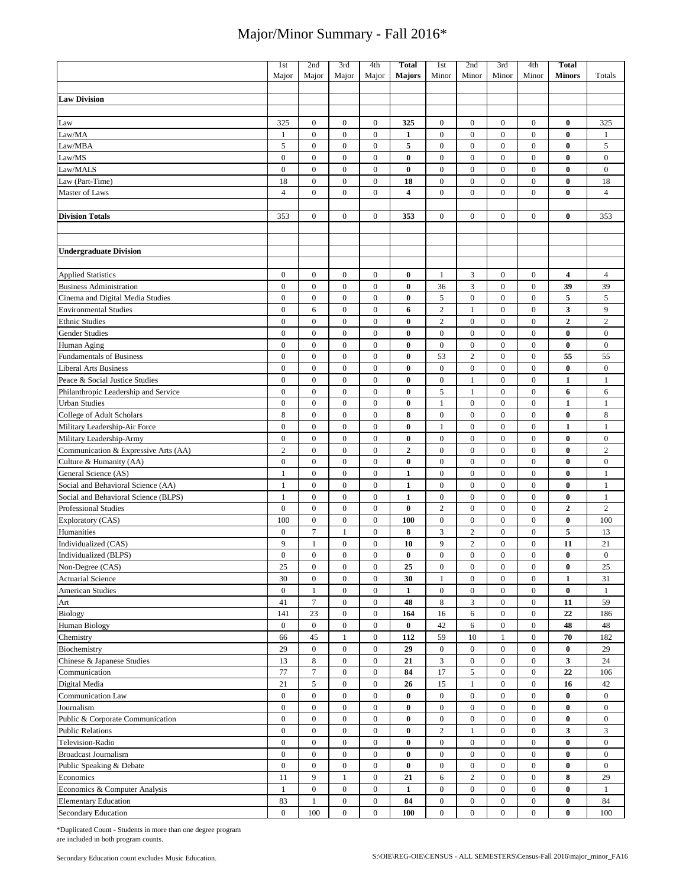|                                      | 1 <sub>st</sub>       | 2nd                              | 3rd                                | 4th                                | <b>Total</b>             | 1st                            | 2nd                              | 3rd                        | 4th                        | <b>Total</b>            |                                |
|--------------------------------------|-----------------------|----------------------------------|------------------------------------|------------------------------------|--------------------------|--------------------------------|----------------------------------|----------------------------|----------------------------|-------------------------|--------------------------------|
|                                      | Major                 | Major                            | Major                              | Major                              | <b>Majors</b>            | Minor                          | Minor                            | Minor                      | Minor                      | <b>Minors</b>           | Totals                         |
|                                      |                       |                                  |                                    |                                    |                          |                                |                                  |                            |                            |                         |                                |
| <b>Law Division</b>                  |                       |                                  |                                    |                                    |                          |                                |                                  |                            |                            |                         |                                |
|                                      |                       |                                  |                                    |                                    |                          |                                |                                  |                            |                            |                         |                                |
| Law                                  | 325                   | $\boldsymbol{0}$                 | $\boldsymbol{0}$                   | $\boldsymbol{0}$                   | 325                      | $\boldsymbol{0}$               | $\mathbf{0}$                     | $\boldsymbol{0}$           | $\boldsymbol{0}$           | $\bf{0}$                | 325                            |
| Law/MA                               | 1                     | $\boldsymbol{0}$                 | $\boldsymbol{0}$                   | $\boldsymbol{0}$                   | 1                        | $\mathbf{0}$                   | $\mathbf{0}$                     | $\mathbf{0}$               | $\mathbf{0}$               | $\bf{0}$                | 1                              |
| Law/MBA                              | 5                     | $\mathbf{0}$                     | $\boldsymbol{0}$                   | $\boldsymbol{0}$                   | 5                        | $\boldsymbol{0}$               | $\mathbf{0}$                     | $\mathbf{0}$               | $\overline{0}$             | $\bf{0}$                | 5                              |
| Law/MS                               | $\boldsymbol{0}$      | $\boldsymbol{0}$                 | $\boldsymbol{0}$                   | $\boldsymbol{0}$                   | $\bf{0}$                 | $\boldsymbol{0}$               | $\mathbf{0}$                     | $\mathbf{0}$               | $\overline{0}$             | $\bf{0}$                | $\boldsymbol{0}$               |
| Law/MALS                             | $\overline{0}$        | $\mathbf{0}$                     | $\overline{0}$                     | $\overline{0}$                     | $\bf{0}$                 | $\overline{0}$                 | $\mathbf{0}$                     | $\mathbf{0}$               | $\overline{0}$             | $\bf{0}$                | $\mathbf{0}$                   |
| Law (Part-Time)                      | 18                    | $\mathbf{0}$                     | $\mathbf{0}$                       | $\boldsymbol{0}$                   | 18                       | $\mathbf{0}$                   | $\mathbf{0}$                     | $\mathbf{0}$               | $\overline{0}$             | $\bf{0}$                | 18                             |
| <b>Master of Laws</b>                | $\overline{4}$        | $\mathbf{0}$                     | $\overline{0}$                     | $\overline{0}$                     | $\overline{\mathbf{4}}$  | $\mathbf{0}$                   | $\mathbf{0}$                     | $\mathbf{0}$               | $\overline{0}$             | $\bf{0}$                | $\overline{4}$                 |
|                                      |                       |                                  |                                    |                                    |                          |                                |                                  |                            |                            |                         |                                |
| <b>Division Totals</b>               | 353                   | $\boldsymbol{0}$                 | $\mathbf{0}$                       | $\boldsymbol{0}$                   | 353                      | $\mathbf{0}$                   | $\mathbf{0}$                     | $\mathbf{0}$               | $\overline{0}$             | $\bf{0}$                | 353                            |
|                                      |                       |                                  |                                    |                                    |                          |                                |                                  |                            |                            |                         |                                |
|                                      |                       |                                  |                                    |                                    |                          |                                |                                  |                            |                            |                         |                                |
| <b>Undergraduate Division</b>        |                       |                                  |                                    |                                    |                          |                                |                                  |                            |                            |                         |                                |
|                                      |                       |                                  |                                    |                                    |                          |                                |                                  |                            |                            |                         |                                |
| <b>Applied Statistics</b>            | $\boldsymbol{0}$      | $\boldsymbol{0}$                 | $\boldsymbol{0}$                   | $\boldsymbol{0}$                   | $\bf{0}$                 | $\mathbf{1}$                   | 3                                | $\boldsymbol{0}$           | $\bf{0}$                   | $\overline{\mathbf{4}}$ | $\overline{4}$                 |
| <b>Business Administration</b>       | $\boldsymbol{0}$      | $\boldsymbol{0}$                 | $\boldsymbol{0}$                   | $\boldsymbol{0}$                   | $\bf{0}$                 | 36                             | 3                                | $\mathbf{0}$               | $\mathbf{0}$               | 39                      | 39                             |
| Cinema and Digital Media Studies     | $\boldsymbol{0}$      | $\boldsymbol{0}$                 | $\boldsymbol{0}$                   | $\boldsymbol{0}$                   | $\bf{0}$                 | 5                              | $\boldsymbol{0}$                 | $\mathbf{0}$               | $\mathbf{0}$               | 5                       | 5                              |
| <b>Environmental Studies</b>         | $\boldsymbol{0}$      | 6                                | $\boldsymbol{0}$                   | $\boldsymbol{0}$                   | 6                        | $\sqrt{2}$                     | $\mathbf{1}$                     | $\mathbf{0}$               | $\overline{0}$             | $\overline{\mathbf{3}}$ | 9                              |
| <b>Ethnic Studies</b>                | $\boldsymbol{0}$      | $\boldsymbol{0}$                 | $\boldsymbol{0}$                   | $\boldsymbol{0}$                   | $\bf{0}$                 | $\overline{2}$                 | $\boldsymbol{0}$                 | $\overline{0}$             | $\overline{0}$             | $\overline{2}$          | $\overline{c}$                 |
| <b>Gender Studies</b>                | $\boldsymbol{0}$      | $\boldsymbol{0}$                 | $\boldsymbol{0}$                   | $\boldsymbol{0}$                   | $\bf{0}$                 | $\boldsymbol{0}$               | $\overline{0}$                   | $\mathbf{0}$               | $\overline{0}$             | $\bf{0}$                | $\bf{0}$                       |
| Human Aging                          | $\boldsymbol{0}$      | $\boldsymbol{0}$                 | $\boldsymbol{0}$                   | $\boldsymbol{0}$                   | $\bf{0}$                 | $\boldsymbol{0}$               | $\boldsymbol{0}$                 | $\boldsymbol{0}$           | $\overline{0}$             | $\bf{0}$                | $\boldsymbol{0}$               |
| <b>Fundamentals of Business</b>      | $\boldsymbol{0}$      | $\boldsymbol{0}$                 | $\boldsymbol{0}$                   | $\boldsymbol{0}$                   | $\bf{0}$                 | 53                             | $\overline{2}$                   | $\boldsymbol{0}$           | $\boldsymbol{0}$           | 55                      | 55                             |
| <b>Liberal Arts Business</b>         | $\boldsymbol{0}$      | $\boldsymbol{0}$                 | $\boldsymbol{0}$                   | $\boldsymbol{0}$                   | $\bf{0}$                 | $\boldsymbol{0}$               | $\boldsymbol{0}$                 | $\boldsymbol{0}$           | $\boldsymbol{0}$           | $\bf{0}$                | $\boldsymbol{0}$               |
| Peace & Social Justice Studies       | $\boldsymbol{0}$      | $\boldsymbol{0}$                 | $\boldsymbol{0}$                   | $\boldsymbol{0}$                   | $\bf{0}$                 | $\boldsymbol{0}$               | $\mathbf{1}$                     | $\boldsymbol{0}$           | $\bf{0}$                   | $\mathbf{1}$            | $\mathbf{1}$                   |
| Philanthropic Leadership and Service | $\boldsymbol{0}$      | $\mathbf{0}$                     | $\boldsymbol{0}$                   | $\boldsymbol{0}$                   | $\bf{0}$                 | 5                              | 1                                | $\mathbf{0}$               | $\mathbf{0}$               | 6                       | 6                              |
| <b>Urban Studies</b>                 | $\boldsymbol{0}$      | $\boldsymbol{0}$                 | $\boldsymbol{0}$                   | $\boldsymbol{0}$                   | $\bf{0}$                 | 1                              | $\boldsymbol{0}$                 | $\mathbf{0}$               | $\boldsymbol{0}$           | 1                       | $\mathbf{1}$                   |
| College of Adult Scholars            | $\,$ 8 $\,$           | $\mathbf{0}$                     | $\boldsymbol{0}$                   | $\boldsymbol{0}$                   | 8                        | $\boldsymbol{0}$               | $\mathbf{0}$                     | $\mathbf{0}$               | $\overline{0}$             | $\bf{0}$                | $\,$ 8 $\,$                    |
|                                      | $\boldsymbol{0}$      | $\boldsymbol{0}$                 | $\boldsymbol{0}$                   | $\boldsymbol{0}$                   | $\bf{0}$                 |                                | $\boldsymbol{0}$                 | $\boldsymbol{0}$           | $\bf{0}$                   | $\mathbf{1}$            |                                |
| Military Leadership-Air Force        | $\mathbf{0}$          | $\mathbf{0}$                     |                                    |                                    |                          | $\mathbf{1}$                   | $\mathbf{0}$                     |                            |                            | $\bf{0}$                | $\mathbf{1}$                   |
| Military Leadership-Army             | $\overline{2}$        |                                  | $\boldsymbol{0}$                   | $\boldsymbol{0}$                   | $\bf{0}$                 | $\boldsymbol{0}$               |                                  | $\mathbf{0}$               | $\mathbf{0}$               |                         | $\boldsymbol{0}$               |
| Communication & Expressive Arts (AA) | $\mathbf{0}$          | $\boldsymbol{0}$<br>$\mathbf{0}$ | $\boldsymbol{0}$<br>$\overline{0}$ | $\boldsymbol{0}$<br>$\overline{0}$ | $\mathbf{2}$<br>$\bf{0}$ | $\mathbf{0}$<br>$\overline{0}$ | $\boldsymbol{0}$<br>$\mathbf{0}$ | $\bf{0}$<br>$\overline{0}$ | $\bf{0}$<br>$\overline{0}$ | $\bf{0}$<br>$\bf{0}$    | $\overline{c}$<br>$\mathbf{0}$ |
| Culture & Humanity (AA)              |                       | $\boldsymbol{0}$                 | $\boldsymbol{0}$                   | $\boldsymbol{0}$                   |                          | $\boldsymbol{0}$               | $\mathbf{0}$                     | $\mathbf{0}$               | $\overline{0}$             | $\bf{0}$                | $\mathbf{1}$                   |
| General Science (AS)                 | $\mathbf{1}$          |                                  | $\overline{0}$                     |                                    | $\mathbf{1}$             |                                |                                  |                            |                            |                         |                                |
| Social and Behavioral Science (AA)   | $\mathbf{1}$          | $\boldsymbol{0}$                 |                                    | $\mathbf{0}$                       | $\mathbf{1}$             | $\boldsymbol{0}$               | $\mathbf{0}$                     | $\mathbf{0}$               | $\overline{0}$             | $\bf{0}$                | $\mathbf{1}$                   |
| Social and Behavioral Science (BLPS) | $\mathbf{1}$          | $\mathbf{0}$                     | $\mathbf{0}$                       | $\boldsymbol{0}$                   | $\mathbf{1}$             | $\boldsymbol{0}$               | $\mathbf{0}$                     | $\mathbf{0}$               | $\overline{0}$             | $\bf{0}$                | $\mathbf{1}$                   |
| Professional Studies                 | $\mathbf{0}$          | $\boldsymbol{0}$                 | $\mathbf{0}$                       | $\overline{0}$                     | $\bf{0}$                 | $\overline{2}$                 | $\mathbf{0}$                     | $\mathbf{0}$               | $\overline{0}$             | $\mathbf{2}$            | $\mathbf{2}$                   |
| Exploratory (CAS)                    | 100                   | $\boldsymbol{0}$                 | $\boldsymbol{0}$                   | $\boldsymbol{0}$                   | 100                      | $\boldsymbol{0}$               | $\boldsymbol{0}$                 | $\mathbf{0}$               | $\overline{0}$             | $\bf{0}$                | 100                            |
| Humanities                           | $\boldsymbol{0}$<br>9 | $\tau$                           | $\mathbf{1}$                       | $\boldsymbol{0}$                   | 8                        | 3                              | $\overline{c}$                   | $\mathbf{0}$               | $\mathbf{0}$               | 5                       | 13                             |
| Individualized (CAS)                 |                       | $\mathbf{1}$                     | $\boldsymbol{0}$                   | $\boldsymbol{0}$                   | 10                       | 9                              | $\overline{2}$                   | $\mathbf{0}$               | $\overline{0}$             | 11                      | 21                             |
| Individualized (BLPS)                | $\mathbf{0}$          | $\mathbf{0}$                     | $\mathbf{0}$                       | $\mathbf{0}$                       | $\bf{0}$                 | $\mathbf{0}$                   | $\mathbf{0}$                     | $\mathbf{0}$               | $\mathbf{0}$               | $\bf{0}$                | $\boldsymbol{0}$               |
| Non-Degree (CAS)                     | 25                    | $\boldsymbol{0}$                 | $\boldsymbol{0}$                   | $\boldsymbol{0}$                   | 25                       | $\boldsymbol{0}$               | $\boldsymbol{0}$                 | $\boldsymbol{0}$           | 0                          | $\bf{0}$                | 25                             |
| <b>Actuarial Science</b>             | 30                    | $\boldsymbol{0}$                 | $\boldsymbol{0}$                   | $\boldsymbol{0}$                   | 30                       | $\mathbf{1}$                   | $\boldsymbol{0}$                 | $\boldsymbol{0}$           | $\bf{0}$                   | $\mathbf{1}$            | 31                             |
| <b>American Studies</b>              | $\bf{0}$              | $\mathbf{1}$                     | $\boldsymbol{0}$                   | $\overline{0}$                     | 1                        | $\mathbf{0}$                   | $\mathbf{0}$                     | $\bf{0}$                   | $\overline{0}$             | $\bf{0}$                | $\mathbf{1}$                   |
| Art                                  | 41                    | $\boldsymbol{7}$                 | $\boldsymbol{0}$                   | $\boldsymbol{0}$                   | 48                       | $\,8\,$                        | $\overline{3}$                   | $\boldsymbol{0}$           | $\boldsymbol{0}$           | 11                      | 59                             |
| Biology                              | 141                   | 23                               | $\boldsymbol{0}$                   | $\overline{0}$                     | 164                      | 16                             | 6                                | $\boldsymbol{0}$           | $\overline{0}$             | 22                      | 186                            |
| <b>Human Biology</b>                 | $\boldsymbol{0}$      | $\boldsymbol{0}$                 | $\boldsymbol{0}$                   | $\boldsymbol{0}$                   | $\bf{0}$                 | 42                             | 6                                | $\boldsymbol{0}$           | $\overline{0}$             | 48                      | 48                             |
| Chemistry                            | 66                    | 45                               | $\mathbf{1}$                       | $\boldsymbol{0}$                   | 112                      | 59                             | $10\,$                           | $\mathbf{1}$               | $\mathbf{0}$               | 70                      | 182                            |
| Biochemistry                         | 29                    | $\boldsymbol{0}$                 | $\boldsymbol{0}$                   | $\boldsymbol{0}$                   | 29                       | $\boldsymbol{0}$               | $\boldsymbol{0}$                 | $\boldsymbol{0}$           | $\bf{0}$                   | $\boldsymbol{0}$        | 29                             |
| Chinese & Japanese Studies           | 13                    | 8                                | $\boldsymbol{0}$                   | $\overline{0}$                     | 21                       | 3                              | $\bf{0}$                         | $\boldsymbol{0}$           | 0                          | $\mathbf{3}$            | 24                             |
| Communication                        | $77\,$                | $\boldsymbol{7}$                 | $\boldsymbol{0}$                   | $\boldsymbol{0}$                   | 84                       | 17                             | 5                                | $\boldsymbol{0}$           | $\bf{0}$                   | 22                      | 106                            |
| Digital Media                        | 21                    | $\sqrt{5}$                       | $\boldsymbol{0}$                   | $\overline{0}$                     | 26                       | 15                             | $\mathbf{1}$                     | $\overline{0}$             | $\overline{0}$             | 16                      | 42                             |
| Communication Law                    | $\boldsymbol{0}$      | $\boldsymbol{0}$                 | $\boldsymbol{0}$                   | $\bf{0}$                           | $\bf{0}$                 | $\boldsymbol{0}$               | $\boldsymbol{0}$                 | $\boldsymbol{0}$           | $\bf{0}$                   | $\bf{0}$                | $\mathbf{0}$                   |
| Journalism                           | $\boldsymbol{0}$      | $\boldsymbol{0}$                 | $\boldsymbol{0}$                   | $\overline{0}$                     | $\bf{0}$                 | $\boldsymbol{0}$               | $\boldsymbol{0}$                 | $\boldsymbol{0}$           | $\overline{0}$             | $\bf{0}$                | $\mathbf{0}$                   |
| Public & Corporate Communication     | $\boldsymbol{0}$      | $\boldsymbol{0}$                 | $\boldsymbol{0}$                   | $\boldsymbol{0}$                   | $\bf{0}$                 | $\boldsymbol{0}$               | $\boldsymbol{0}$                 | $\boldsymbol{0}$           | $\bf{0}$                   | $\bf{0}$                | $\boldsymbol{0}$               |
| <b>Public Relations</b>              | $\boldsymbol{0}$      | $\boldsymbol{0}$                 | $\boldsymbol{0}$                   | $\boldsymbol{0}$                   | $\bf{0}$                 | $\sqrt{2}$                     | $\mathbf{1}$                     | $\boldsymbol{0}$           | $\overline{0}$             | 3                       | 3                              |
| Television-Radio                     | $\boldsymbol{0}$      | $\boldsymbol{0}$                 | $\boldsymbol{0}$                   | $\boldsymbol{0}$                   | $\pmb{0}$                | $\boldsymbol{0}$               | $\boldsymbol{0}$                 | $\boldsymbol{0}$           | $\bf{0}$                   | $\bf{0}$                | $\mathbf{0}$                   |
| <b>Broadcast Journalism</b>          | $\boldsymbol{0}$      | $\boldsymbol{0}$                 | $\boldsymbol{0}$                   | $\boldsymbol{0}$                   | $\bf{0}$                 | $\boldsymbol{0}$               | $\boldsymbol{0}$                 | $\boldsymbol{0}$           | $\boldsymbol{0}$           | $\bf{0}$                | $\bf{0}$                       |
| Public Speaking & Debate             | $\boldsymbol{0}$      | $\boldsymbol{0}$                 | $\boldsymbol{0}$                   | $\boldsymbol{0}$                   | $\pmb{0}$                | $\boldsymbol{0}$               | $\boldsymbol{0}$                 | $\boldsymbol{0}$           | $\bf{0}$                   | $\bf{0}$                | $\mathbf{0}$                   |
| Economics                            | 11                    | 9                                | $\mathbf{1}$                       | $\boldsymbol{0}$                   | 21                       | 6                              | $\sqrt{2}$                       | $\boldsymbol{0}$           | $\overline{0}$             | 8                       | 29                             |
| Economics & Computer Analysis        | $\mathbf{1}$          | $\boldsymbol{0}$                 | $\boldsymbol{0}$                   | $\boldsymbol{0}$                   | $\mathbf{1}$             | $\mathbf{0}$                   | $\boldsymbol{0}$                 | $\bf{0}$                   | $\overline{0}$             | $\bf{0}$                | $\mathbf{1}$                   |
| <b>Elementary Education</b>          | 83                    | $\mathbf{1}$                     | $\boldsymbol{0}$                   | $\boldsymbol{0}$                   | 84                       | $\boldsymbol{0}$               | $\boldsymbol{0}$                 | $\overline{0}$             | $\overline{0}$             | $\bf{0}$                | 84                             |
| Secondary Education                  | $\bf{0}$              | 100                              | $\boldsymbol{0}$                   | $\boldsymbol{0}$                   | 100                      | $\mathbf{0}$                   | $\mathbf{0}$                     | $\overline{0}$             | $\overline{0}$             | $\bf{0}$                | 100                            |

\*Duplicated Count - Students in more than one degree program are included in both program counts.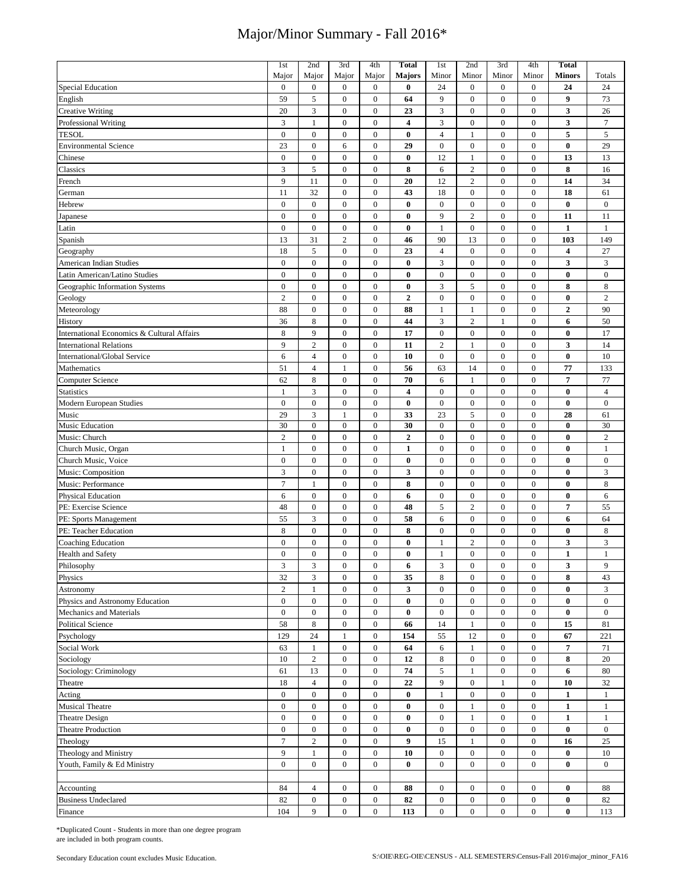|                                            | 1st              | 2nd              | 3rd              | 4th              | <b>Total</b>            | 1st              | 2nd              | 3rd              | 4th              | <b>Total</b>   |                  |
|--------------------------------------------|------------------|------------------|------------------|------------------|-------------------------|------------------|------------------|------------------|------------------|----------------|------------------|
|                                            | Major            | Major            | Major            | Major            | <b>Majors</b>           | Minor            | Minor            | Minor            | Minor            | <b>Minors</b>  | Totals           |
| <b>Special Education</b>                   | $\boldsymbol{0}$ | $\boldsymbol{0}$ | $\boldsymbol{0}$ | $\boldsymbol{0}$ | $\bf{0}$                | 24               | $\mathbf{0}$     | $\mathbf{0}$     | $\mathbf{0}$     | 24             | 24               |
| English                                    | 59               | 5                | $\boldsymbol{0}$ | $\boldsymbol{0}$ | 64                      | 9                | $\mathbf{0}$     | $\mathbf{0}$     | $\mathbf{0}$     | 9              | 73               |
| <b>Creative Writing</b>                    | 20               | 3                | $\boldsymbol{0}$ | $\boldsymbol{0}$ | 23                      | 3                | $\boldsymbol{0}$ | $\boldsymbol{0}$ | $\boldsymbol{0}$ | 3              | 26               |
| <b>Professional Writing</b>                | 3                | $\mathbf{1}$     | $\boldsymbol{0}$ | $\boldsymbol{0}$ | $\overline{\mathbf{4}}$ | 3                | $\boldsymbol{0}$ | $\boldsymbol{0}$ | $\boldsymbol{0}$ | 3              | $7\phantom{.0}$  |
| <b>TESOL</b>                               | $\boldsymbol{0}$ | $\boldsymbol{0}$ | $\boldsymbol{0}$ | $\boldsymbol{0}$ | $\bf{0}$                | $\overline{4}$   | $\mathbf{1}$     | $\boldsymbol{0}$ | $\bf{0}$         | 5              | 5                |
| <b>Environmental Science</b>               | 23               | $\boldsymbol{0}$ | 6                | $\boldsymbol{0}$ | 29                      | $\boldsymbol{0}$ | $\boldsymbol{0}$ | $\boldsymbol{0}$ | $\mathbf{0}$     | $\bf{0}$       | 29               |
| Chinese                                    | $\boldsymbol{0}$ | $\boldsymbol{0}$ | $\boldsymbol{0}$ | $\boldsymbol{0}$ | $\bf{0}$                | 12               | $\mathbf{1}$     | $\mathbf{0}$     | $\boldsymbol{0}$ | 13             | 13               |
| Classics                                   | 3                | 5                | $\boldsymbol{0}$ | $\boldsymbol{0}$ | 8                       | 6                | $\sqrt{2}$       | $\boldsymbol{0}$ | $\boldsymbol{0}$ | 8              | 16               |
| French                                     | 9                | 11               | $\boldsymbol{0}$ | $\boldsymbol{0}$ | 20                      | 12               | $\overline{c}$   | $\boldsymbol{0}$ | $\boldsymbol{0}$ | 14             | 34               |
| German                                     | 11               | 32               | $\boldsymbol{0}$ | $\boldsymbol{0}$ | 43                      | 18               | $\boldsymbol{0}$ | $\boldsymbol{0}$ | $\boldsymbol{0}$ | 18             | 61               |
| Hebrew                                     | $\boldsymbol{0}$ | $\boldsymbol{0}$ | $\boldsymbol{0}$ | $\boldsymbol{0}$ | $\bf{0}$                | $\boldsymbol{0}$ | $\bf{0}$         | $\boldsymbol{0}$ | $\boldsymbol{0}$ | $\bf{0}$       | $\bf{0}$         |
| Japanese                                   | $\boldsymbol{0}$ | $\boldsymbol{0}$ | $\boldsymbol{0}$ | $\boldsymbol{0}$ | 0                       | 9                | $\overline{2}$   | $\boldsymbol{0}$ | $\boldsymbol{0}$ | 11             | 11               |
| Latin                                      | $\boldsymbol{0}$ | $\boldsymbol{0}$ | $\boldsymbol{0}$ | $\boldsymbol{0}$ | $\bf{0}$                | $\mathbf{1}$     | $\boldsymbol{0}$ | $\boldsymbol{0}$ | $\boldsymbol{0}$ | $\mathbf{1}$   | $\mathbf{1}$     |
| Spanish                                    | 13               | 31               | $\overline{2}$   | $\boldsymbol{0}$ | 46                      | 90               | 13               | $\boldsymbol{0}$ | $\boldsymbol{0}$ | 103            | 149              |
| Geography                                  | 18               | $\sqrt{5}$       | $\boldsymbol{0}$ | $\boldsymbol{0}$ | 23                      | $\sqrt{4}$       | $\boldsymbol{0}$ | $\boldsymbol{0}$ | $\boldsymbol{0}$ | 4              | 27               |
| American Indian Studies                    | $\boldsymbol{0}$ | $\boldsymbol{0}$ | $\boldsymbol{0}$ | $\boldsymbol{0}$ | $\bf{0}$                | 3                | $\boldsymbol{0}$ | $\boldsymbol{0}$ | $\boldsymbol{0}$ | 3              | 3                |
|                                            | $\overline{0}$   | $\boldsymbol{0}$ | $\boldsymbol{0}$ | $\boldsymbol{0}$ | $\bf{0}$                | $\boldsymbol{0}$ | $\boldsymbol{0}$ | $\mathbf{0}$     | $\overline{0}$   | $\bf{0}$       | $\boldsymbol{0}$ |
| Latin American/Latino Studies              |                  |                  |                  |                  |                         |                  |                  |                  |                  |                |                  |
| Geographic Information Systems             | $\boldsymbol{0}$ | $\boldsymbol{0}$ | $\boldsymbol{0}$ | $\boldsymbol{0}$ | $\bf{0}$                | $\overline{3}$   | $\sqrt{5}$       | $\boldsymbol{0}$ | $\boldsymbol{0}$ | 8              | $\,$ 8 $\,$      |
| Geology                                    | $\overline{c}$   | $\boldsymbol{0}$ | $\boldsymbol{0}$ | $\boldsymbol{0}$ | $\boldsymbol{2}$        | $\boldsymbol{0}$ | $\boldsymbol{0}$ | $\mathbf{0}$     | $\boldsymbol{0}$ | $\bf{0}$       | $\sqrt{2}$       |
| Meteorology                                | 88               | $\boldsymbol{0}$ | $\boldsymbol{0}$ | $\boldsymbol{0}$ | 88                      | $\mathbf{1}$     | 1                | $\mathbf{0}$     | $\mathbf{0}$     | $\overline{2}$ | 90               |
| History                                    | 36               | 8                | $\boldsymbol{0}$ | $\boldsymbol{0}$ | 44                      | 3                | $\overline{2}$   | $\mathbf{1}$     | $\overline{0}$   | 6              | 50               |
| International Economics & Cultural Affairs | 8                | 9                | $\boldsymbol{0}$ | $\boldsymbol{0}$ | 17                      | $\boldsymbol{0}$ | $\boldsymbol{0}$ | $\boldsymbol{0}$ | $\boldsymbol{0}$ | $\bf{0}$       | 17               |
| <b>International Relations</b>             | 9                | $\sqrt{2}$       | $\overline{0}$   | $\boldsymbol{0}$ | 11                      | $\sqrt{2}$       | $\mathbf{1}$     | $\mathbf{0}$     | $\mathbf{0}$     | 3              | 14               |
| International/Global Service               | 6                | $\overline{4}$   | $\mathbf{0}$     | $\boldsymbol{0}$ | 10                      | $\boldsymbol{0}$ | $\boldsymbol{0}$ | $\mathbf{0}$     | $\mathbf{0}$     | $\bf{0}$       | 10               |
| Mathematics                                | 51               | $\overline{4}$   | 1                | $\boldsymbol{0}$ | 56                      | 63               | 14               | $\mathbf{0}$     | $\mathbf{0}$     | 77             | 133              |
| Computer Science                           | 62               | 8                | $\boldsymbol{0}$ | $\boldsymbol{0}$ | 70                      | 6                | $\mathbf{1}$     | $\mathbf{0}$     | $\mathbf{0}$     | 7              | 77               |
| <b>Statistics</b>                          | $\mathbf{1}$     | 3                | $\boldsymbol{0}$ | $\boldsymbol{0}$ | $\overline{\mathbf{4}}$ | $\boldsymbol{0}$ | $\boldsymbol{0}$ | $\mathbf{0}$     | $\mathbf{0}$     | $\bf{0}$       | $\overline{4}$   |
| Modern European Studies                    | $\boldsymbol{0}$ | $\boldsymbol{0}$ | $\boldsymbol{0}$ | $\boldsymbol{0}$ | $\bf{0}$                | $\boldsymbol{0}$ | $\boldsymbol{0}$ | $\mathbf{0}$     | $\mathbf{0}$     | $\bf{0}$       | $\bf{0}$         |
| Music                                      | 29               | 3                | $\mathbf{1}$     | $\boldsymbol{0}$ | 33                      | 23               | 5                | $\boldsymbol{0}$ | $\boldsymbol{0}$ | 28             | 61               |
| <b>Music Education</b>                     | 30               | $\boldsymbol{0}$ | $\boldsymbol{0}$ | $\boldsymbol{0}$ | 30                      | $\boldsymbol{0}$ | $\boldsymbol{0}$ | $\mathbf{0}$     | $\mathbf{0}$     | $\bf{0}$       | 30               |
| Music: Church                              | $\overline{c}$   | $\mathbf{0}$     | $\mathbf{0}$     | $\boldsymbol{0}$ | $\mathbf{2}$            | $\boldsymbol{0}$ | $\boldsymbol{0}$ | $\mathbf{0}$     | $\mathbf{0}$     | $\bf{0}$       | $\overline{2}$   |
| Church Music, Organ                        | $\mathbf{1}$     | $\boldsymbol{0}$ | $\boldsymbol{0}$ | $\boldsymbol{0}$ | $\mathbf{1}$            | $\boldsymbol{0}$ | $\boldsymbol{0}$ | $\mathbf{0}$     | $\mathbf{0}$     | $\bf{0}$       | $\mathbf{1}$     |
| Church Music, Voice                        | $\boldsymbol{0}$ | $\boldsymbol{0}$ | $\boldsymbol{0}$ | $\boldsymbol{0}$ | $\bf{0}$                | $\boldsymbol{0}$ | $\boldsymbol{0}$ | $\boldsymbol{0}$ | $\boldsymbol{0}$ | $\bf{0}$       | $\bf{0}$         |
| Music: Composition                         | 3                | $\boldsymbol{0}$ | $\boldsymbol{0}$ | $\boldsymbol{0}$ | 3                       | $\boldsymbol{0}$ | $\boldsymbol{0}$ | $\mathbf{0}$     | $\mathbf{0}$     | $\bf{0}$       | 3                |
| Music: Performance                         | $\overline{7}$   | $\mathbf{1}$     | $\boldsymbol{0}$ | $\boldsymbol{0}$ | 8                       | $\boldsymbol{0}$ | $\boldsymbol{0}$ | $\mathbf{0}$     | $\mathbf{0}$     | $\bf{0}$       | 8                |
| <b>Physical Education</b>                  | 6                | $\boldsymbol{0}$ | $\boldsymbol{0}$ | $\boldsymbol{0}$ | 6                       | $\boldsymbol{0}$ | $\boldsymbol{0}$ | $\boldsymbol{0}$ | $\boldsymbol{0}$ | $\bf{0}$       | 6                |
| PE: Exercise Science                       | 48               | $\boldsymbol{0}$ | $\boldsymbol{0}$ | $\boldsymbol{0}$ | 48                      | 5                | $\overline{c}$   | $\boldsymbol{0}$ | $\boldsymbol{0}$ | 7              | 55               |
| PE: Sports Management                      | 55               | 3                | $\boldsymbol{0}$ | $\boldsymbol{0}$ | 58                      | 6                | $\boldsymbol{0}$ | $\boldsymbol{0}$ | $\boldsymbol{0}$ | 6              | 64               |
| PE: Teacher Education                      | 8                | $\boldsymbol{0}$ | $\boldsymbol{0}$ | $\boldsymbol{0}$ | 8                       | $\boldsymbol{0}$ | $\boldsymbol{0}$ | $\boldsymbol{0}$ | $\boldsymbol{0}$ | $\bf{0}$       | 8                |
| <b>Coaching Education</b>                  | $\boldsymbol{0}$ | $\boldsymbol{0}$ | $\boldsymbol{0}$ | $\boldsymbol{0}$ | $\bf{0}$                | $\mathbf{1}$     | $\overline{2}$   | $\boldsymbol{0}$ | $\boldsymbol{0}$ | 3              | 3                |
| <b>Health and Safety</b>                   | $\overline{0}$   | $\mathbf{0}$     | $\overline{0}$   | $\overline{0}$   | $\bf{0}$                | $\mathbf{1}$     | $\mathbf{0}$     | $\mathbf{0}$     | $\overline{0}$   | $\mathbf{1}$   | $\mathbf{1}$     |
| Philosophy                                 | 3                | 3                | $\bf{0}$         | 0                | 6                       | 3                | $\boldsymbol{0}$ | $\boldsymbol{0}$ | 0                | 3              | 9                |
| Physics                                    | 32               | $\mathfrak{Z}$   | $\boldsymbol{0}$ | $\mathbf{0}$     | 35                      | 8                | $\boldsymbol{0}$ | $\boldsymbol{0}$ | $\bf{0}$         | 8              | 43               |
| Astronomy                                  | $\overline{c}$   | $\mathbf{1}$     | $\boldsymbol{0}$ | $\boldsymbol{0}$ | 3                       | $\boldsymbol{0}$ | $\boldsymbol{0}$ | $\boldsymbol{0}$ | $\boldsymbol{0}$ | $\bf{0}$       | 3                |
| Physics and Astronomy Education            | $\boldsymbol{0}$ | $\boldsymbol{0}$ | $\boldsymbol{0}$ | $\overline{0}$   | $\bf{0}$                | $\boldsymbol{0}$ | $\boldsymbol{0}$ | $\boldsymbol{0}$ | $\boldsymbol{0}$ | $\bf{0}$       | $\boldsymbol{0}$ |
| Mechanics and Materials                    | $\bf{0}$         | $\bf{0}$         | $\boldsymbol{0}$ | $\mathbf{0}$     | $\bf{0}$                | $\bf{0}$         | $\bf{0}$         | $\boldsymbol{0}$ | $\bf{0}$         | $\bf{0}$       | $\bf{0}$         |
| <b>Political Science</b>                   | 58               | $\,8\,$          | $\boldsymbol{0}$ | $\boldsymbol{0}$ | 66                      | 14               | $\mathbf{1}$     | $\bf{0}$         | $\bf{0}$         | 15             | 81               |
| Psychology                                 | 129              | 24               | $\mathbf{1}$     | $\boldsymbol{0}$ | 154                     | 55               | 12               | $\boldsymbol{0}$ | $\boldsymbol{0}$ | 67             | 221              |
| Social Work                                | 63               | $\mathbf{1}$     | $\boldsymbol{0}$ | $\mathbf{0}$     | 64                      | 6                | 1                | $\boldsymbol{0}$ | $\boldsymbol{0}$ | $\overline{7}$ | 71               |
|                                            | 10               | $\sqrt{2}$       | $\boldsymbol{0}$ | $\boldsymbol{0}$ | 12                      | $\,$ 8 $\,$      | $\bf{0}$         | $\boldsymbol{0}$ | $\bf{0}$         | 8              | 20               |
| Sociology                                  | 61               | 13               | $\boldsymbol{0}$ | $\boldsymbol{0}$ | 74                      | $\sqrt{5}$       | $\mathbf{1}$     | $\boldsymbol{0}$ | $\boldsymbol{0}$ |                | 80               |
| Sociology: Criminology                     |                  |                  |                  |                  |                         |                  |                  |                  |                  | 6              |                  |
| Theatre                                    | 18               | $\sqrt{4}$       | $\boldsymbol{0}$ | $\boldsymbol{0}$ | 22                      | 9                | $\boldsymbol{0}$ | $\mathbf{1}$     | $\bf{0}$         | 10             | 32               |
| Acting                                     | $\boldsymbol{0}$ | $\boldsymbol{0}$ | $\boldsymbol{0}$ | $\boldsymbol{0}$ | $\bf{0}$                | $\mathbf{1}$     | $\bf{0}$         | $\boldsymbol{0}$ | $\boldsymbol{0}$ | $\mathbf{1}$   | $\mathbf{1}$     |
| <b>Musical Theatre</b>                     | $\boldsymbol{0}$ | $\boldsymbol{0}$ | $\boldsymbol{0}$ | $\boldsymbol{0}$ | $\bf{0}$                | $\boldsymbol{0}$ | $\mathbf{1}$     | $\boldsymbol{0}$ | $\bf{0}$         | $\mathbf{1}$   | $\mathbf{1}$     |
| <b>Theatre Design</b>                      | $\overline{0}$   | $\boldsymbol{0}$ | $\boldsymbol{0}$ | $\boldsymbol{0}$ | $\bf{0}$                | $\boldsymbol{0}$ | $\mathbf{1}$     | $\boldsymbol{0}$ | $\boldsymbol{0}$ | $\mathbf{1}$   | $\mathbf{1}$     |
| Theatre Production                         | $\boldsymbol{0}$ | $\boldsymbol{0}$ | $\boldsymbol{0}$ | $\boldsymbol{0}$ | $\bf{0}$                | $\boldsymbol{0}$ | $\boldsymbol{0}$ | $\boldsymbol{0}$ | $\bf{0}$         | $\bf{0}$       | $\mathbf{0}$     |
| Theology                                   | $\overline{7}$   | $\boldsymbol{2}$ | $\boldsymbol{0}$ | $\boldsymbol{0}$ | 9                       | 15               | 1                | $\boldsymbol{0}$ | $\boldsymbol{0}$ | 16             | 25               |
| Theology and Ministry                      | 9                | $\mathbf{1}$     | $\boldsymbol{0}$ | $\mathbf{0}$     | 10                      | $\boldsymbol{0}$ | $\boldsymbol{0}$ | $\mathbf{0}$     | $\overline{0}$   | $\bf{0}$       | 10               |
| Youth, Family & Ed Ministry                | $\overline{0}$   | $\boldsymbol{0}$ | $\boldsymbol{0}$ | $\boldsymbol{0}$ | $\bf{0}$                | $\boldsymbol{0}$ | $\mathbf{0}$     | $\mathbf{0}$     | $\overline{0}$   | $\bf{0}$       | $\boldsymbol{0}$ |
|                                            |                  |                  |                  |                  |                         |                  |                  |                  |                  |                |                  |
| Accounting                                 | 84               | $\overline{4}$   | $\mathbf{0}$     | $\boldsymbol{0}$ | 88                      | $\boldsymbol{0}$ | $\mathbf{0}$     | $\boldsymbol{0}$ | $\mathbf{0}$     | $\bf{0}$       | 88               |
| <b>Business Undeclared</b>                 | 82               | $\boldsymbol{0}$ | $\boldsymbol{0}$ | $\boldsymbol{0}$ | 82                      | $\boldsymbol{0}$ | $\boldsymbol{0}$ | $\mathbf{0}$     | $\bf{0}$         | $\bf{0}$       | 82               |
| Finance                                    | 104              | 9                | $\boldsymbol{0}$ | $\mathbf{0}$     | 113                     | $\boldsymbol{0}$ | $\boldsymbol{0}$ | $\boldsymbol{0}$ | $\overline{0}$   | $\bf{0}$       | 113              |

\*Duplicated Count - Students in more than one degree program are included in both program counts.